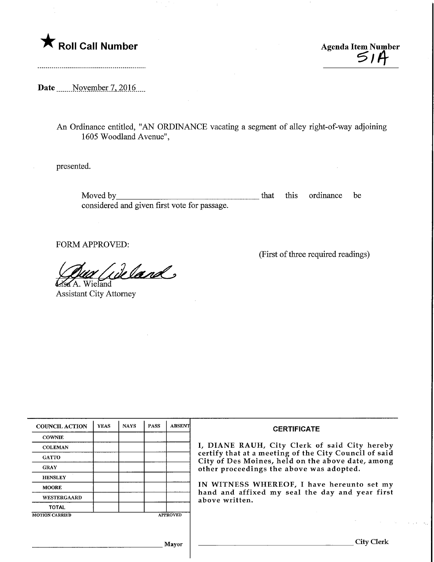## $\bigstar$  Roll Call Number  $\bigcirc$  *Agenda Item Number*

Date Movember 7, 2016

An Ordinance entitled, "AN ORDINANCE vacating a segment of alley right-of-way adjoining 1605 Woodland Avenue",

presented.

Moved by\_ that this ordinance be considered and given first vote for passage.

FORM APPROVED:

 $\ell$ land

^8^A.. Wieland Assistant City Attorney

(First of three required readings)

| <b>COUNCIL ACTION</b> | <b>YEAS</b> | <b>NAYS</b> | <b>PASS</b> | <b>ABSENT</b>   | <b>CERTIFICATE</b><br>I, DIANE RAUH, City Clerk of said City hereby<br>certify that at a meeting of the City Council of said<br>City of Des Moines, held on the above date, among<br>other proceedings the above was adopted.<br>IN WITNESS WHEREOF, I have hereunto set my<br>hand and affixed my seal the day and year first<br>above written. |
|-----------------------|-------------|-------------|-------------|-----------------|--------------------------------------------------------------------------------------------------------------------------------------------------------------------------------------------------------------------------------------------------------------------------------------------------------------------------------------------------|
| <b>COWNIE</b>         |             |             |             |                 |                                                                                                                                                                                                                                                                                                                                                  |
| <b>COLEMAN</b>        |             |             |             |                 |                                                                                                                                                                                                                                                                                                                                                  |
| <b>GATTO</b>          |             |             |             |                 |                                                                                                                                                                                                                                                                                                                                                  |
| <b>GRAY</b>           |             |             |             |                 |                                                                                                                                                                                                                                                                                                                                                  |
| <b>HENSLEY</b>        |             |             |             |                 |                                                                                                                                                                                                                                                                                                                                                  |
| <b>MOORE</b>          |             |             |             |                 |                                                                                                                                                                                                                                                                                                                                                  |
| WESTERGAARD           |             |             |             |                 |                                                                                                                                                                                                                                                                                                                                                  |
| <b>TOTAL</b>          |             |             |             |                 |                                                                                                                                                                                                                                                                                                                                                  |
| <b>MOTION CARRIED</b> |             |             |             | <b>APPROVED</b> |                                                                                                                                                                                                                                                                                                                                                  |
|                       |             |             |             |                 |                                                                                                                                                                                                                                                                                                                                                  |
|                       |             |             |             | Mayor           | Citv C                                                                                                                                                                                                                                                                                                                                           |